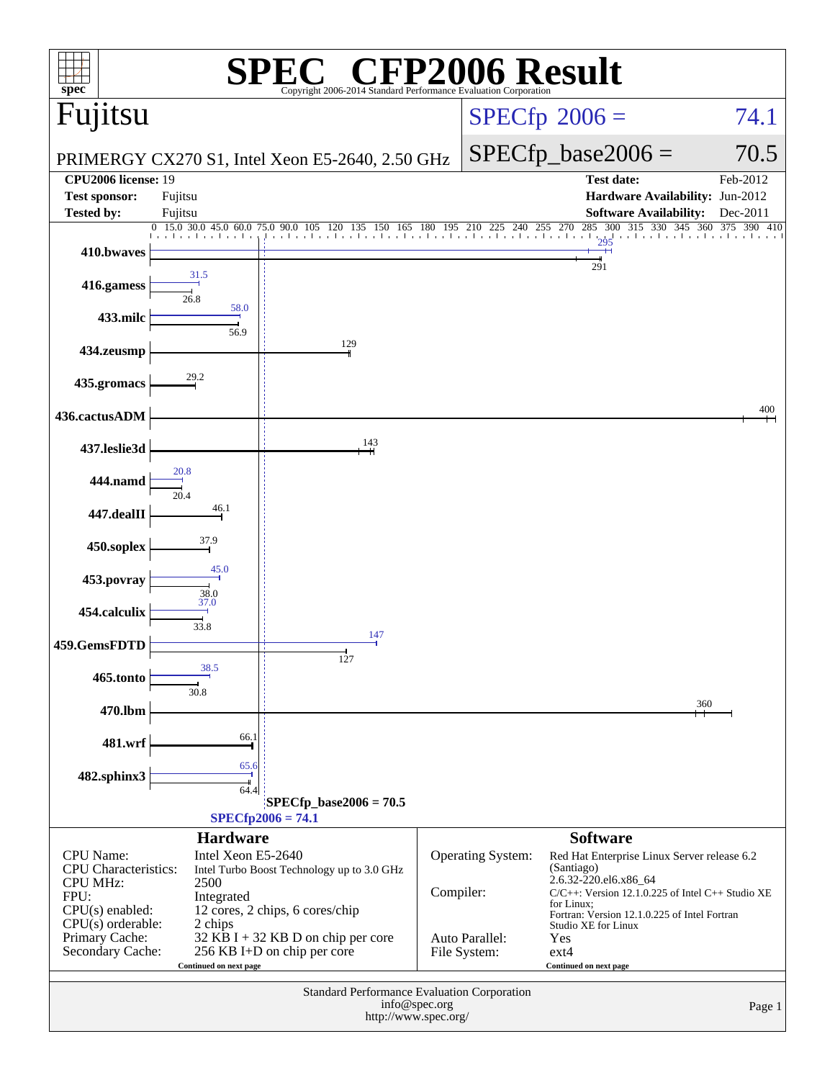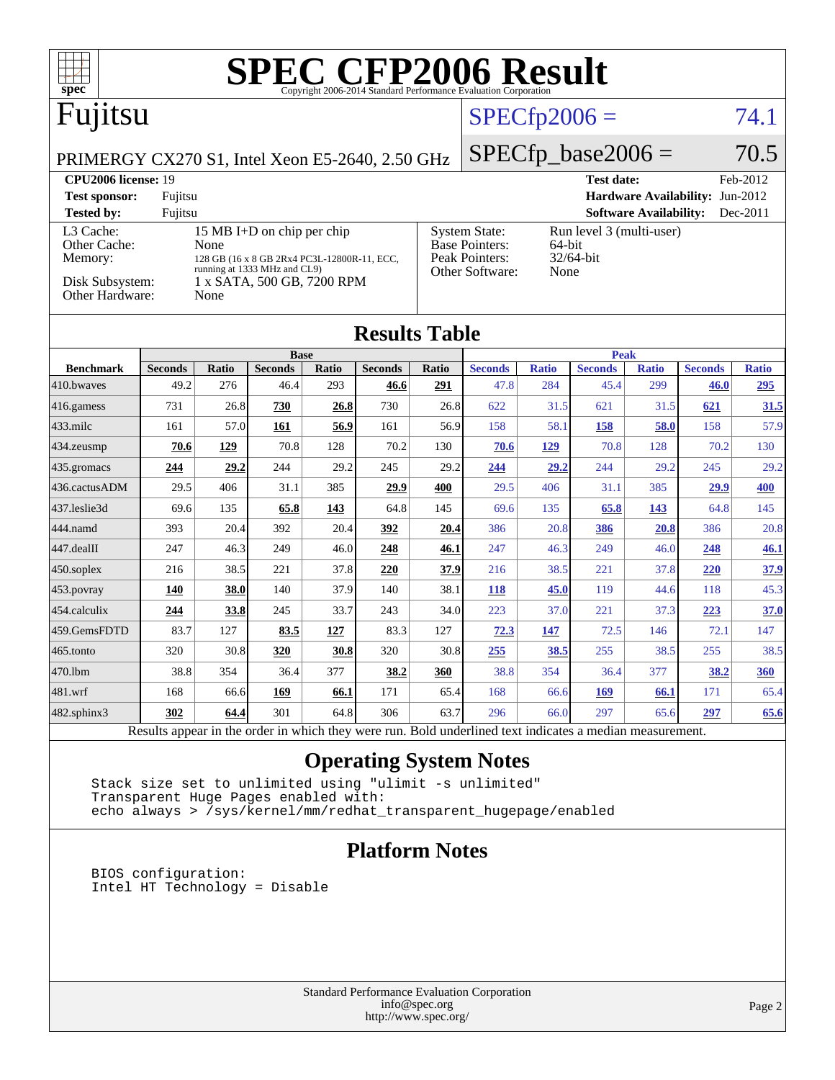| $spec^*$                                                                       |                        |                     |                                                            |                             | <b>SPEC CFP2006 Result</b><br>Copyright 2006-2014 Standard Performance Evaluation Corporation |                     |                        |                     |                        |                               |                                 |                     |
|--------------------------------------------------------------------------------|------------------------|---------------------|------------------------------------------------------------|-----------------------------|-----------------------------------------------------------------------------------------------|---------------------|------------------------|---------------------|------------------------|-------------------------------|---------------------------------|---------------------|
| Fujitsu                                                                        |                        |                     |                                                            |                             |                                                                                               |                     |                        | $SPECfp2006 =$      |                        |                               |                                 | 74.1                |
| PRIMERGY CX270 S1, Intel Xeon E5-2640, 2.50 GHz                                |                        |                     |                                                            |                             |                                                                                               |                     |                        |                     | $SPECfp\_base2006 =$   |                               |                                 | 70.5                |
| <b>CPU2006 license: 19</b>                                                     |                        |                     |                                                            |                             |                                                                                               |                     |                        |                     | <b>Test date:</b>      |                               |                                 | Feb-2012            |
| <b>Test sponsor:</b>                                                           | Fujitsu                |                     |                                                            |                             |                                                                                               |                     |                        |                     |                        |                               | Hardware Availability: Jun-2012 |                     |
| <b>Tested by:</b>                                                              | Fujitsu                |                     |                                                            |                             |                                                                                               |                     |                        |                     |                        | <b>Software Availability:</b> |                                 | Dec-2011            |
| L3 Cache:<br>15 MB I+D on chip per chip                                        |                        |                     |                                                            |                             | <b>System State:</b><br>Run level 3 (multi-user)<br>Base Pointers:<br>64-bit                  |                     |                        |                     |                        |                               |                                 |                     |
| Other Cache:<br>None<br>Memory:<br>128 GB (16 x 8 GB 2Rx4 PC3L-12800R-11, ECC, |                        |                     |                                                            | Peak Pointers:<br>32/64-bit |                                                                                               |                     |                        |                     |                        |                               |                                 |                     |
| Disk Subsystem:                                                                |                        |                     | running at 1333 MHz and CL9)<br>1 x SATA, 500 GB, 7200 RPM |                             |                                                                                               |                     | Other Software:        | None                |                        |                               |                                 |                     |
| Other Hardware:                                                                |                        | None                |                                                            |                             |                                                                                               |                     |                        |                     |                        |                               |                                 |                     |
|                                                                                |                        |                     |                                                            |                             |                                                                                               |                     |                        |                     |                        |                               |                                 |                     |
|                                                                                |                        |                     |                                                            |                             | <b>Results Table</b>                                                                          |                     |                        |                     |                        |                               |                                 |                     |
|                                                                                |                        |                     | <b>Base</b>                                                |                             |                                                                                               |                     |                        |                     | <b>Peak</b>            |                               |                                 |                     |
| <b>Benchmark</b><br>410.bwayes                                                 | <b>Seconds</b><br>49.2 | <b>Ratio</b><br>276 | <b>Seconds</b><br>46.4                                     | <b>Ratio</b><br>293         | <b>Seconds</b><br>46.6                                                                        | <b>Ratio</b><br>291 | <b>Seconds</b><br>47.8 | <b>Ratio</b><br>284 | <b>Seconds</b><br>45.4 | <b>Ratio</b><br>299           | <b>Seconds</b><br>46.0          | <b>Ratio</b><br>295 |
| $ 416$ .gamess                                                                 | 731                    | 26.8                | 730                                                        | 26.8                        | 730                                                                                           | 26.8                | 622                    | 31.5                | 621                    | 31.5                          | 621                             | 31.5                |
| 433.milc                                                                       | 161                    | 57.0                | 161                                                        | 56.9                        | 161                                                                                           | 56.9                | 158                    | 58.1                | 158                    | 58.0                          | 158                             | 57.9                |
| 434.zeusmp                                                                     | 70.6                   | 129                 | 70.8                                                       | 128                         | 70.2                                                                                          | 130                 | 70.6                   | 129                 | 70.8                   | 128                           | 70.2                            | 130                 |
| 435.gromacs                                                                    | 244                    | 29.2                | 244                                                        | 29.2                        | 245                                                                                           | 29.2                | 244                    | 29.2                | 244                    | 29.2                          | 245                             | 29.2                |
| 436.cactusADM                                                                  | 29.5                   | 406                 | 31.1                                                       | 385                         | 29.9                                                                                          | 400                 | 29.5                   | 406                 | 31.1                   | 385                           | 29.9                            | 400                 |
| 437.leslie3d                                                                   | 69.6                   | 135                 | 65.8                                                       | 143                         | 64.8                                                                                          | 145                 | 69.6                   | 135                 | 65.8                   | 143                           | 64.8                            | 145                 |
| 444.namd                                                                       | 393                    | 20.4                | 392                                                        | 20.4                        | 392                                                                                           | 20.4                | 386                    | 20.8                | 386                    | 20.8                          | 386                             | 20.8                |
| $447$ .dealII                                                                  | 247                    | 46.3                | 249                                                        | 46.0                        | 248                                                                                           | 46.1                | 247                    | 46.3                | 249                    | 46.0                          | 248                             | 46.1                |
| $450$ .soplex                                                                  | 216                    | 38.5                | 221                                                        | 37.8                        | 220                                                                                           | 37.9                | 216                    | 38.5                | 221                    | 37.8                          | 220                             | 37.9                |
| $ 453$ . povray                                                                | <b>140</b>             | 38.0                | 140                                                        | 37.9                        | 140                                                                                           | 38.1                | 118                    | 45.0                | 119                    | 44.6                          | 118                             | 45.3                |
| 454.calculix                                                                   | 244                    | 33.8                | 245                                                        | 33.7                        | 243                                                                                           | 34.0                | 223                    | 37.0                | 221                    | 37.3                          | 223                             | 37.0                |
| 459.GemsFDTD                                                                   | 83.7                   | 127                 | 83.5                                                       | 127                         | 83.3                                                                                          | 127                 | 72.3                   | 147                 | 72.5                   | 146                           | 72.1                            | 147                 |
| 465.tonto                                                                      | 320                    | 30.8                | 320                                                        | 30.8                        | 320                                                                                           | 30.8                | 255                    | 38.5                | 255                    | 38.5                          | 255                             | 38.5                |
| 470.1bm                                                                        | 38.8                   | 354                 | 36.4                                                       | 377                         | 38.2                                                                                          | 360                 | 38.8                   | 354                 | 36.4                   | 377                           | 38.2                            | 360                 |
| 481.wrf                                                                        | 168                    | 66.6                | 169                                                        | 66.1                        | 171                                                                                           | 65.4                | 168                    | 66.6                | 169                    | 66.1                          | 171                             | 65.4                |

[482.sphinx3](http://www.spec.org/auto/cpu2006/Docs/482.sphinx3.html) **[302](http://www.spec.org/auto/cpu2006/Docs/result-fields.html#Median) [64.4](http://www.spec.org/auto/cpu2006/Docs/result-fields.html#Median)** 301 64.8 306 63.7 296 66.0 297 65.6 **[297](http://www.spec.org/auto/cpu2006/Docs/result-fields.html#Median) [65.6](http://www.spec.org/auto/cpu2006/Docs/result-fields.html#Median)** Results appear in the [order in which they were run.](http://www.spec.org/auto/cpu2006/Docs/result-fields.html#RunOrder) Bold underlined text [indicates a median measurement.](http://www.spec.org/auto/cpu2006/Docs/result-fields.html#Median)

### **[Operating System Notes](http://www.spec.org/auto/cpu2006/Docs/result-fields.html#OperatingSystemNotes)**

 Stack size set to unlimited using "ulimit -s unlimited" Transparent Huge Pages enabled with: echo always > /sys/kernel/mm/redhat\_transparent\_hugepage/enabled

### **[Platform Notes](http://www.spec.org/auto/cpu2006/Docs/result-fields.html#PlatformNotes)**

 BIOS configuration: Intel HT Technology = Disable

> Standard Performance Evaluation Corporation [info@spec.org](mailto:info@spec.org) <http://www.spec.org/>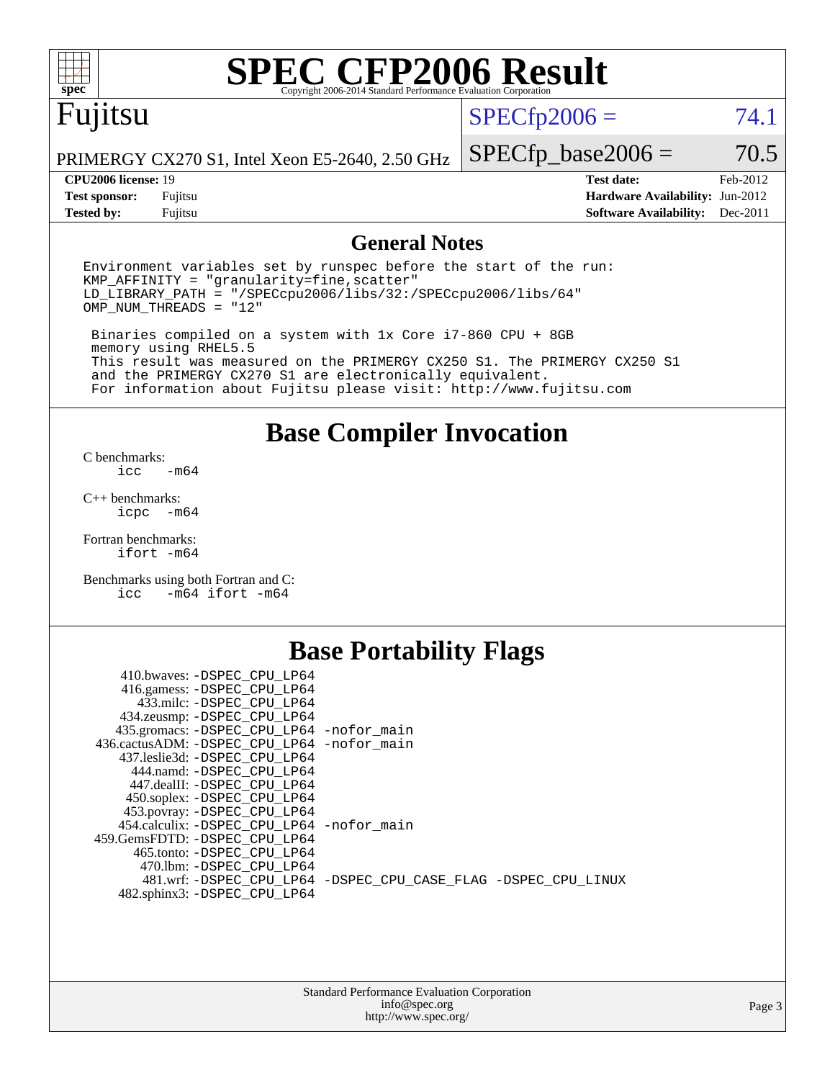

# **[SPEC CFP2006 Result](http://www.spec.org/auto/cpu2006/Docs/result-fields.html#SPECCFP2006Result)**

# Fujitsu

 $SPECfp2006 = 74.1$  $SPECfp2006 = 74.1$ 

PRIMERGY CX270 S1, Intel Xeon E5-2640, 2.50 GHz

**[Tested by:](http://www.spec.org/auto/cpu2006/Docs/result-fields.html#Testedby)** Fujitsu **[Software Availability:](http://www.spec.org/auto/cpu2006/Docs/result-fields.html#SoftwareAvailability)** Dec-2011

**[CPU2006 license:](http://www.spec.org/auto/cpu2006/Docs/result-fields.html#CPU2006license)** 19 **[Test date:](http://www.spec.org/auto/cpu2006/Docs/result-fields.html#Testdate)** Feb-2012 **[Test sponsor:](http://www.spec.org/auto/cpu2006/Docs/result-fields.html#Testsponsor)** Fujitsu **[Hardware Availability:](http://www.spec.org/auto/cpu2006/Docs/result-fields.html#HardwareAvailability)** Jun-2012

 $SPECTp\_base2006 = 70.5$ 

### **[General Notes](http://www.spec.org/auto/cpu2006/Docs/result-fields.html#GeneralNotes)**

Environment variables set by runspec before the start of the run:  $KMP$  AFFINITY = "granularity=fine, scatter" LD\_LIBRARY\_PATH = "/SPECcpu2006/libs/32:/SPECcpu2006/libs/64" OMP\_NUM\_THREADS = "12"

 Binaries compiled on a system with 1x Core i7-860 CPU + 8GB memory using RHEL5.5 This result was measured on the PRIMERGY CX250 S1. The PRIMERGY CX250 S1 and the PRIMERGY CX270 S1 are electronically equivalent. For information about Fujitsu please visit: <http://www.fujitsu.com>

**[Base Compiler Invocation](http://www.spec.org/auto/cpu2006/Docs/result-fields.html#BaseCompilerInvocation)**

[C benchmarks](http://www.spec.org/auto/cpu2006/Docs/result-fields.html#Cbenchmarks):  $-m64$ 

[C++ benchmarks:](http://www.spec.org/auto/cpu2006/Docs/result-fields.html#CXXbenchmarks) [icpc -m64](http://www.spec.org/cpu2006/results/res2012q3/cpu2006-20120620-23078.flags.html#user_CXXbase_intel_icpc_64bit_bedb90c1146cab66620883ef4f41a67e)

[Fortran benchmarks](http://www.spec.org/auto/cpu2006/Docs/result-fields.html#Fortranbenchmarks): [ifort -m64](http://www.spec.org/cpu2006/results/res2012q3/cpu2006-20120620-23078.flags.html#user_FCbase_intel_ifort_64bit_ee9d0fb25645d0210d97eb0527dcc06e)

[Benchmarks using both Fortran and C](http://www.spec.org/auto/cpu2006/Docs/result-fields.html#BenchmarksusingbothFortranandC): [icc -m64](http://www.spec.org/cpu2006/results/res2012q3/cpu2006-20120620-23078.flags.html#user_CC_FCbase_intel_icc_64bit_0b7121f5ab7cfabee23d88897260401c) [ifort -m64](http://www.spec.org/cpu2006/results/res2012q3/cpu2006-20120620-23078.flags.html#user_CC_FCbase_intel_ifort_64bit_ee9d0fb25645d0210d97eb0527dcc06e)

### **[Base Portability Flags](http://www.spec.org/auto/cpu2006/Docs/result-fields.html#BasePortabilityFlags)**

| 410.bwaves: -DSPEC CPU LP64<br>416.gamess: -DSPEC_CPU_LP64<br>433.milc: -DSPEC CPU LP64 |                                                                |
|-----------------------------------------------------------------------------------------|----------------------------------------------------------------|
| 434.zeusmp: - DSPEC_CPU_LP64                                                            |                                                                |
| 435.gromacs: -DSPEC_CPU_LP64 -nofor_main                                                |                                                                |
| 436.cactusADM: -DSPEC CPU LP64 -nofor main                                              |                                                                |
| 437.leslie3d: -DSPEC CPU LP64                                                           |                                                                |
| 444.namd: -DSPEC CPU LP64                                                               |                                                                |
| 447.dealII: -DSPEC_CPU LP64                                                             |                                                                |
| 450.soplex: -DSPEC_CPU_LP64                                                             |                                                                |
| 453.povray: -DSPEC_CPU_LP64                                                             |                                                                |
| 454.calculix: - DSPEC CPU LP64 - nofor main                                             |                                                                |
| 459. GemsFDTD: - DSPEC CPU LP64                                                         |                                                                |
| 465.tonto: - DSPEC CPU LP64                                                             |                                                                |
| 470.1bm: - DSPEC CPU LP64                                                               |                                                                |
|                                                                                         | 481.wrf: -DSPEC CPU_LP64 -DSPEC_CPU_CASE_FLAG -DSPEC_CPU_LINUX |
| 482.sphinx3: -DSPEC_CPU_LP64                                                            |                                                                |
|                                                                                         |                                                                |

| <b>Standard Performance Evaluation Corporation</b> |
|----------------------------------------------------|
| info@spec.org                                      |
| http://www.spec.org/                               |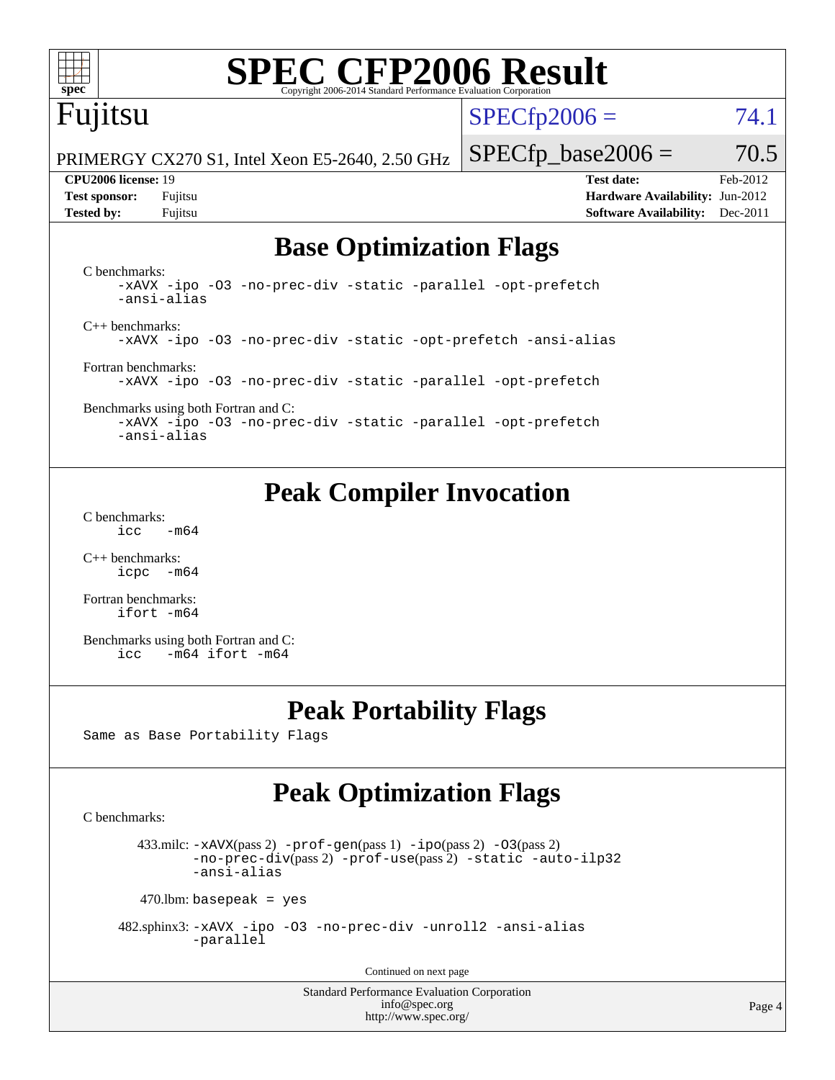

# **[SPEC CFP2006 Result](http://www.spec.org/auto/cpu2006/Docs/result-fields.html#SPECCFP2006Result)**

# Fujitsu

 $SPECTp2006 = 74.1$ 

PRIMERGY CX270 S1, Intel Xeon E5-2640, 2.50 GHz

**[Tested by:](http://www.spec.org/auto/cpu2006/Docs/result-fields.html#Testedby)** Fujitsu **[Software Availability:](http://www.spec.org/auto/cpu2006/Docs/result-fields.html#SoftwareAvailability)** Dec-2011

 $SPECTp\_base2006 = 70.5$ **[CPU2006 license:](http://www.spec.org/auto/cpu2006/Docs/result-fields.html#CPU2006license)** 19 **[Test date:](http://www.spec.org/auto/cpu2006/Docs/result-fields.html#Testdate)** Feb-2012 **[Test sponsor:](http://www.spec.org/auto/cpu2006/Docs/result-fields.html#Testsponsor)** Fujitsu **[Hardware Availability:](http://www.spec.org/auto/cpu2006/Docs/result-fields.html#HardwareAvailability)** Jun-2012

## **[Base Optimization Flags](http://www.spec.org/auto/cpu2006/Docs/result-fields.html#BaseOptimizationFlags)**

[C benchmarks](http://www.spec.org/auto/cpu2006/Docs/result-fields.html#Cbenchmarks): [-xAVX](http://www.spec.org/cpu2006/results/res2012q3/cpu2006-20120620-23078.flags.html#user_CCbase_f-xAVX) [-ipo](http://www.spec.org/cpu2006/results/res2012q3/cpu2006-20120620-23078.flags.html#user_CCbase_f-ipo) [-O3](http://www.spec.org/cpu2006/results/res2012q3/cpu2006-20120620-23078.flags.html#user_CCbase_f-O3) [-no-prec-div](http://www.spec.org/cpu2006/results/res2012q3/cpu2006-20120620-23078.flags.html#user_CCbase_f-no-prec-div) [-static](http://www.spec.org/cpu2006/results/res2012q3/cpu2006-20120620-23078.flags.html#user_CCbase_f-static) [-parallel](http://www.spec.org/cpu2006/results/res2012q3/cpu2006-20120620-23078.flags.html#user_CCbase_f-parallel) [-opt-prefetch](http://www.spec.org/cpu2006/results/res2012q3/cpu2006-20120620-23078.flags.html#user_CCbase_f-opt-prefetch) [-ansi-alias](http://www.spec.org/cpu2006/results/res2012q3/cpu2006-20120620-23078.flags.html#user_CCbase_f-ansi-alias) [C++ benchmarks:](http://www.spec.org/auto/cpu2006/Docs/result-fields.html#CXXbenchmarks) [-xAVX](http://www.spec.org/cpu2006/results/res2012q3/cpu2006-20120620-23078.flags.html#user_CXXbase_f-xAVX) [-ipo](http://www.spec.org/cpu2006/results/res2012q3/cpu2006-20120620-23078.flags.html#user_CXXbase_f-ipo) [-O3](http://www.spec.org/cpu2006/results/res2012q3/cpu2006-20120620-23078.flags.html#user_CXXbase_f-O3) [-no-prec-div](http://www.spec.org/cpu2006/results/res2012q3/cpu2006-20120620-23078.flags.html#user_CXXbase_f-no-prec-div) [-static](http://www.spec.org/cpu2006/results/res2012q3/cpu2006-20120620-23078.flags.html#user_CXXbase_f-static) [-opt-prefetch](http://www.spec.org/cpu2006/results/res2012q3/cpu2006-20120620-23078.flags.html#user_CXXbase_f-opt-prefetch) [-ansi-alias](http://www.spec.org/cpu2006/results/res2012q3/cpu2006-20120620-23078.flags.html#user_CXXbase_f-ansi-alias) [Fortran benchmarks](http://www.spec.org/auto/cpu2006/Docs/result-fields.html#Fortranbenchmarks): [-xAVX](http://www.spec.org/cpu2006/results/res2012q3/cpu2006-20120620-23078.flags.html#user_FCbase_f-xAVX) [-ipo](http://www.spec.org/cpu2006/results/res2012q3/cpu2006-20120620-23078.flags.html#user_FCbase_f-ipo) [-O3](http://www.spec.org/cpu2006/results/res2012q3/cpu2006-20120620-23078.flags.html#user_FCbase_f-O3) [-no-prec-div](http://www.spec.org/cpu2006/results/res2012q3/cpu2006-20120620-23078.flags.html#user_FCbase_f-no-prec-div) [-static](http://www.spec.org/cpu2006/results/res2012q3/cpu2006-20120620-23078.flags.html#user_FCbase_f-static) [-parallel](http://www.spec.org/cpu2006/results/res2012q3/cpu2006-20120620-23078.flags.html#user_FCbase_f-parallel) [-opt-prefetch](http://www.spec.org/cpu2006/results/res2012q3/cpu2006-20120620-23078.flags.html#user_FCbase_f-opt-prefetch) [Benchmarks using both Fortran and C](http://www.spec.org/auto/cpu2006/Docs/result-fields.html#BenchmarksusingbothFortranandC):

[-xAVX](http://www.spec.org/cpu2006/results/res2012q3/cpu2006-20120620-23078.flags.html#user_CC_FCbase_f-xAVX) [-ipo](http://www.spec.org/cpu2006/results/res2012q3/cpu2006-20120620-23078.flags.html#user_CC_FCbase_f-ipo) [-O3](http://www.spec.org/cpu2006/results/res2012q3/cpu2006-20120620-23078.flags.html#user_CC_FCbase_f-O3) [-no-prec-div](http://www.spec.org/cpu2006/results/res2012q3/cpu2006-20120620-23078.flags.html#user_CC_FCbase_f-no-prec-div) [-static](http://www.spec.org/cpu2006/results/res2012q3/cpu2006-20120620-23078.flags.html#user_CC_FCbase_f-static) [-parallel](http://www.spec.org/cpu2006/results/res2012q3/cpu2006-20120620-23078.flags.html#user_CC_FCbase_f-parallel) [-opt-prefetch](http://www.spec.org/cpu2006/results/res2012q3/cpu2006-20120620-23078.flags.html#user_CC_FCbase_f-opt-prefetch) [-ansi-alias](http://www.spec.org/cpu2006/results/res2012q3/cpu2006-20120620-23078.flags.html#user_CC_FCbase_f-ansi-alias)

## **[Peak Compiler Invocation](http://www.spec.org/auto/cpu2006/Docs/result-fields.html#PeakCompilerInvocation)**

[C benchmarks](http://www.spec.org/auto/cpu2006/Docs/result-fields.html#Cbenchmarks):  $\text{icc}$  -m64

[C++ benchmarks:](http://www.spec.org/auto/cpu2006/Docs/result-fields.html#CXXbenchmarks) [icpc -m64](http://www.spec.org/cpu2006/results/res2012q3/cpu2006-20120620-23078.flags.html#user_CXXpeak_intel_icpc_64bit_bedb90c1146cab66620883ef4f41a67e)

[Fortran benchmarks](http://www.spec.org/auto/cpu2006/Docs/result-fields.html#Fortranbenchmarks): [ifort -m64](http://www.spec.org/cpu2006/results/res2012q3/cpu2006-20120620-23078.flags.html#user_FCpeak_intel_ifort_64bit_ee9d0fb25645d0210d97eb0527dcc06e)

[Benchmarks using both Fortran and C](http://www.spec.org/auto/cpu2006/Docs/result-fields.html#BenchmarksusingbothFortranandC): [icc -m64](http://www.spec.org/cpu2006/results/res2012q3/cpu2006-20120620-23078.flags.html#user_CC_FCpeak_intel_icc_64bit_0b7121f5ab7cfabee23d88897260401c) [ifort -m64](http://www.spec.org/cpu2006/results/res2012q3/cpu2006-20120620-23078.flags.html#user_CC_FCpeak_intel_ifort_64bit_ee9d0fb25645d0210d97eb0527dcc06e)

### **[Peak Portability Flags](http://www.spec.org/auto/cpu2006/Docs/result-fields.html#PeakPortabilityFlags)**

Same as Base Portability Flags

## **[Peak Optimization Flags](http://www.spec.org/auto/cpu2006/Docs/result-fields.html#PeakOptimizationFlags)**

[C benchmarks](http://www.spec.org/auto/cpu2006/Docs/result-fields.html#Cbenchmarks):

433.milc:  $-x$ AVX(pass 2)  $-p$ rof-gen(pass 1)  $-p$ po(pass 2)  $-03$ (pass 2) [-no-prec-div](http://www.spec.org/cpu2006/results/res2012q3/cpu2006-20120620-23078.flags.html#user_peakPASS2_CFLAGSPASS2_LDFLAGS433_milc_f-no-prec-div)(pass 2) [-prof-use](http://www.spec.org/cpu2006/results/res2012q3/cpu2006-20120620-23078.flags.html#user_peakPASS2_CFLAGSPASS2_LDFLAGS433_milc_prof_use_bccf7792157ff70d64e32fe3e1250b55)(pass 2) [-static](http://www.spec.org/cpu2006/results/res2012q3/cpu2006-20120620-23078.flags.html#user_peakOPTIMIZE433_milc_f-static) [-auto-ilp32](http://www.spec.org/cpu2006/results/res2012q3/cpu2006-20120620-23078.flags.html#user_peakCOPTIMIZE433_milc_f-auto-ilp32) [-ansi-alias](http://www.spec.org/cpu2006/results/res2012q3/cpu2006-20120620-23078.flags.html#user_peakCOPTIMIZE433_milc_f-ansi-alias)

 $470$ .lbm: basepeak = yes

 482.sphinx3: [-xAVX](http://www.spec.org/cpu2006/results/res2012q3/cpu2006-20120620-23078.flags.html#user_peakOPTIMIZE482_sphinx3_f-xAVX) [-ipo](http://www.spec.org/cpu2006/results/res2012q3/cpu2006-20120620-23078.flags.html#user_peakOPTIMIZE482_sphinx3_f-ipo) [-O3](http://www.spec.org/cpu2006/results/res2012q3/cpu2006-20120620-23078.flags.html#user_peakOPTIMIZE482_sphinx3_f-O3) [-no-prec-div](http://www.spec.org/cpu2006/results/res2012q3/cpu2006-20120620-23078.flags.html#user_peakOPTIMIZE482_sphinx3_f-no-prec-div) [-unroll2](http://www.spec.org/cpu2006/results/res2012q3/cpu2006-20120620-23078.flags.html#user_peakCOPTIMIZE482_sphinx3_f-unroll_784dae83bebfb236979b41d2422d7ec2) [-ansi-alias](http://www.spec.org/cpu2006/results/res2012q3/cpu2006-20120620-23078.flags.html#user_peakCOPTIMIZE482_sphinx3_f-ansi-alias) [-parallel](http://www.spec.org/cpu2006/results/res2012q3/cpu2006-20120620-23078.flags.html#user_peakCOPTIMIZE482_sphinx3_f-parallel)

Continued on next page

Standard Performance Evaluation Corporation [info@spec.org](mailto:info@spec.org) <http://www.spec.org/>

Page 4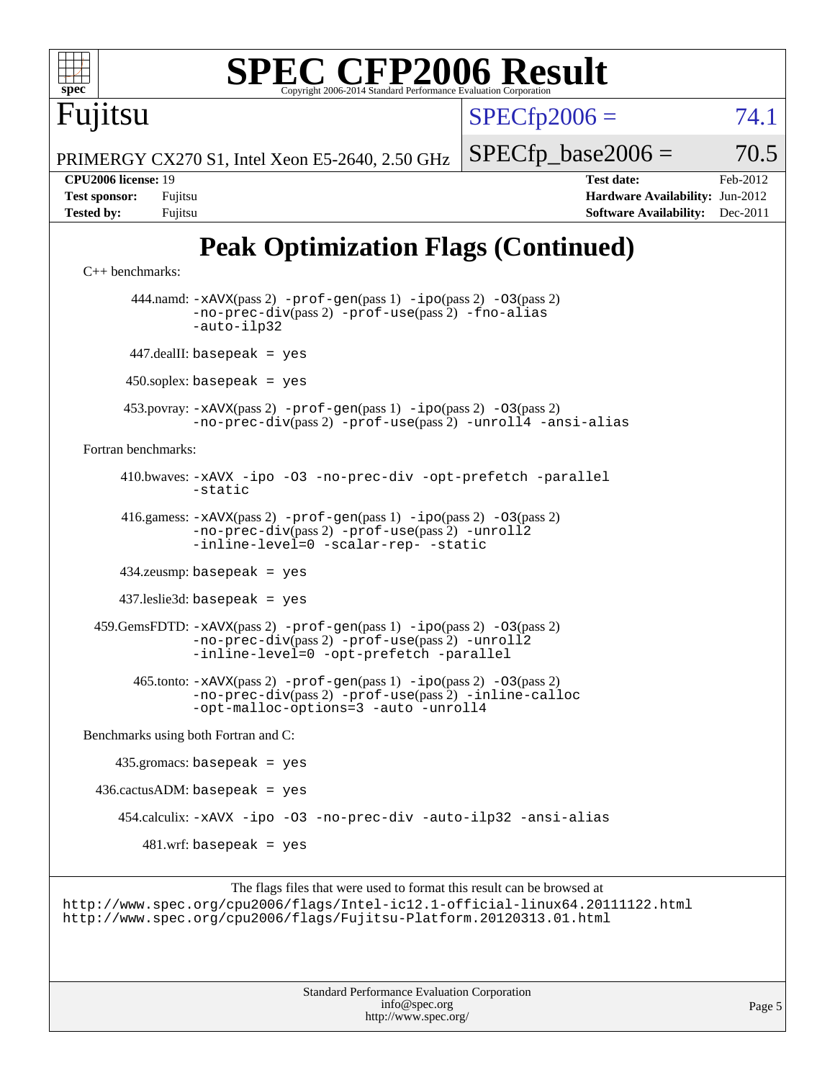

 447.dealII: basepeak = yes  $450$ .soplex: basepeak = yes

[-static](http://www.spec.org/cpu2006/results/res2012q3/cpu2006-20120620-23078.flags.html#user_peakOPTIMIZE410_bwaves_f-static)

[Fortran benchmarks](http://www.spec.org/auto/cpu2006/Docs/result-fields.html#Fortranbenchmarks):

 416.gamess: [-xAVX](http://www.spec.org/cpu2006/results/res2012q3/cpu2006-20120620-23078.flags.html#user_peakPASS2_FFLAGSPASS2_LDFLAGS416_gamess_f-xAVX)(pass 2) [-prof-gen](http://www.spec.org/cpu2006/results/res2012q3/cpu2006-20120620-23078.flags.html#user_peakPASS1_FFLAGSPASS1_LDFLAGS416_gamess_prof_gen_e43856698f6ca7b7e442dfd80e94a8fc)(pass 1) [-ipo](http://www.spec.org/cpu2006/results/res2012q3/cpu2006-20120620-23078.flags.html#user_peakPASS2_FFLAGSPASS2_LDFLAGS416_gamess_f-ipo)(pass 2) [-O3](http://www.spec.org/cpu2006/results/res2012q3/cpu2006-20120620-23078.flags.html#user_peakPASS2_FFLAGSPASS2_LDFLAGS416_gamess_f-O3)(pass 2) [-no-prec-div](http://www.spec.org/cpu2006/results/res2012q3/cpu2006-20120620-23078.flags.html#user_peakPASS2_FFLAGSPASS2_LDFLAGS416_gamess_f-no-prec-div)(pass 2) [-prof-use](http://www.spec.org/cpu2006/results/res2012q3/cpu2006-20120620-23078.flags.html#user_peakPASS2_FFLAGSPASS2_LDFLAGS416_gamess_prof_use_bccf7792157ff70d64e32fe3e1250b55)(pass 2) [-unroll2](http://www.spec.org/cpu2006/results/res2012q3/cpu2006-20120620-23078.flags.html#user_peakOPTIMIZE416_gamess_f-unroll_784dae83bebfb236979b41d2422d7ec2) [-inline-level=0](http://www.spec.org/cpu2006/results/res2012q3/cpu2006-20120620-23078.flags.html#user_peakOPTIMIZE416_gamess_f-inline-level_318d07a09274ad25e8d15dbfaa68ba50) [-scalar-rep-](http://www.spec.org/cpu2006/results/res2012q3/cpu2006-20120620-23078.flags.html#user_peakOPTIMIZE416_gamess_f-disablescalarrep_abbcad04450fb118e4809c81d83c8a1d) [-static](http://www.spec.org/cpu2006/results/res2012q3/cpu2006-20120620-23078.flags.html#user_peakOPTIMIZE416_gamess_f-static) 434.zeusmp: basepeak = yes 437.leslie3d: basepeak = yes 459.GemsFDTD: [-xAVX](http://www.spec.org/cpu2006/results/res2012q3/cpu2006-20120620-23078.flags.html#user_peakPASS2_FFLAGSPASS2_LDFLAGS459_GemsFDTD_f-xAVX)(pass 2) [-prof-gen](http://www.spec.org/cpu2006/results/res2012q3/cpu2006-20120620-23078.flags.html#user_peakPASS1_FFLAGSPASS1_LDFLAGS459_GemsFDTD_prof_gen_e43856698f6ca7b7e442dfd80e94a8fc)(pass 1) [-ipo](http://www.spec.org/cpu2006/results/res2012q3/cpu2006-20120620-23078.flags.html#user_peakPASS2_FFLAGSPASS2_LDFLAGS459_GemsFDTD_f-ipo)(pass 2) [-O3](http://www.spec.org/cpu2006/results/res2012q3/cpu2006-20120620-23078.flags.html#user_peakPASS2_FFLAGSPASS2_LDFLAGS459_GemsFDTD_f-O3)(pass 2) [-no-prec-div](http://www.spec.org/cpu2006/results/res2012q3/cpu2006-20120620-23078.flags.html#user_peakPASS2_FFLAGSPASS2_LDFLAGS459_GemsFDTD_f-no-prec-div)(pass 2) [-prof-use](http://www.spec.org/cpu2006/results/res2012q3/cpu2006-20120620-23078.flags.html#user_peakPASS2_FFLAGSPASS2_LDFLAGS459_GemsFDTD_prof_use_bccf7792157ff70d64e32fe3e1250b55)(pass 2) [-unroll2](http://www.spec.org/cpu2006/results/res2012q3/cpu2006-20120620-23078.flags.html#user_peakOPTIMIZE459_GemsFDTD_f-unroll_784dae83bebfb236979b41d2422d7ec2) [-inline-level=0](http://www.spec.org/cpu2006/results/res2012q3/cpu2006-20120620-23078.flags.html#user_peakOPTIMIZE459_GemsFDTD_f-inline-level_318d07a09274ad25e8d15dbfaa68ba50) [-opt-prefetch](http://www.spec.org/cpu2006/results/res2012q3/cpu2006-20120620-23078.flags.html#user_peakOPTIMIZE459_GemsFDTD_f-opt-prefetch) [-parallel](http://www.spec.org/cpu2006/results/res2012q3/cpu2006-20120620-23078.flags.html#user_peakOPTIMIZE459_GemsFDTD_f-parallel) 465.tonto: [-xAVX](http://www.spec.org/cpu2006/results/res2012q3/cpu2006-20120620-23078.flags.html#user_peakPASS2_FFLAGSPASS2_LDFLAGS465_tonto_f-xAVX)(pass 2) [-prof-gen](http://www.spec.org/cpu2006/results/res2012q3/cpu2006-20120620-23078.flags.html#user_peakPASS1_FFLAGSPASS1_LDFLAGS465_tonto_prof_gen_e43856698f6ca7b7e442dfd80e94a8fc)(pass 1) [-ipo](http://www.spec.org/cpu2006/results/res2012q3/cpu2006-20120620-23078.flags.html#user_peakPASS2_FFLAGSPASS2_LDFLAGS465_tonto_f-ipo)(pass 2) [-O3](http://www.spec.org/cpu2006/results/res2012q3/cpu2006-20120620-23078.flags.html#user_peakPASS2_FFLAGSPASS2_LDFLAGS465_tonto_f-O3)(pass 2) [-no-prec-div](http://www.spec.org/cpu2006/results/res2012q3/cpu2006-20120620-23078.flags.html#user_peakPASS2_FFLAGSPASS2_LDFLAGS465_tonto_f-no-prec-div)(pass 2) [-prof-use](http://www.spec.org/cpu2006/results/res2012q3/cpu2006-20120620-23078.flags.html#user_peakPASS2_FFLAGSPASS2_LDFLAGS465_tonto_prof_use_bccf7792157ff70d64e32fe3e1250b55)(pass 2) [-inline-calloc](http://www.spec.org/cpu2006/results/res2012q3/cpu2006-20120620-23078.flags.html#user_peakOPTIMIZE465_tonto_f-inline-calloc) [-opt-malloc-options=3](http://www.spec.org/cpu2006/results/res2012q3/cpu2006-20120620-23078.flags.html#user_peakOPTIMIZE465_tonto_f-opt-malloc-options_13ab9b803cf986b4ee62f0a5998c2238) [-auto](http://www.spec.org/cpu2006/results/res2012q3/cpu2006-20120620-23078.flags.html#user_peakOPTIMIZE465_tonto_f-auto) [-unroll4](http://www.spec.org/cpu2006/results/res2012q3/cpu2006-20120620-23078.flags.html#user_peakOPTIMIZE465_tonto_f-unroll_4e5e4ed65b7fd20bdcd365bec371b81f) [Benchmarks using both Fortran and C](http://www.spec.org/auto/cpu2006/Docs/result-fields.html#BenchmarksusingbothFortranandC):

453.povray: [-xAVX](http://www.spec.org/cpu2006/results/res2012q3/cpu2006-20120620-23078.flags.html#user_peakPASS2_CXXFLAGSPASS2_LDFLAGS453_povray_f-xAVX)(pass 2) [-prof-gen](http://www.spec.org/cpu2006/results/res2012q3/cpu2006-20120620-23078.flags.html#user_peakPASS1_CXXFLAGSPASS1_LDFLAGS453_povray_prof_gen_e43856698f6ca7b7e442dfd80e94a8fc)(pass 1) [-ipo](http://www.spec.org/cpu2006/results/res2012q3/cpu2006-20120620-23078.flags.html#user_peakPASS2_CXXFLAGSPASS2_LDFLAGS453_povray_f-ipo)(pass 2) [-O3](http://www.spec.org/cpu2006/results/res2012q3/cpu2006-20120620-23078.flags.html#user_peakPASS2_CXXFLAGSPASS2_LDFLAGS453_povray_f-O3)(pass 2)

410.bwaves: [-xAVX](http://www.spec.org/cpu2006/results/res2012q3/cpu2006-20120620-23078.flags.html#user_peakOPTIMIZE410_bwaves_f-xAVX) [-ipo](http://www.spec.org/cpu2006/results/res2012q3/cpu2006-20120620-23078.flags.html#user_peakOPTIMIZE410_bwaves_f-ipo) [-O3](http://www.spec.org/cpu2006/results/res2012q3/cpu2006-20120620-23078.flags.html#user_peakOPTIMIZE410_bwaves_f-O3) [-no-prec-div](http://www.spec.org/cpu2006/results/res2012q3/cpu2006-20120620-23078.flags.html#user_peakOPTIMIZE410_bwaves_f-no-prec-div) [-opt-prefetch](http://www.spec.org/cpu2006/results/res2012q3/cpu2006-20120620-23078.flags.html#user_peakOPTIMIZE410_bwaves_f-opt-prefetch) [-parallel](http://www.spec.org/cpu2006/results/res2012q3/cpu2006-20120620-23078.flags.html#user_peakOPTIMIZE410_bwaves_f-parallel)

[-no-prec-div](http://www.spec.org/cpu2006/results/res2012q3/cpu2006-20120620-23078.flags.html#user_peakPASS2_CXXFLAGSPASS2_LDFLAGS453_povray_f-no-prec-div)(pass 2) [-prof-use](http://www.spec.org/cpu2006/results/res2012q3/cpu2006-20120620-23078.flags.html#user_peakPASS2_CXXFLAGSPASS2_LDFLAGS453_povray_prof_use_bccf7792157ff70d64e32fe3e1250b55)(pass 2) [-unroll4](http://www.spec.org/cpu2006/results/res2012q3/cpu2006-20120620-23078.flags.html#user_peakCXXOPTIMIZE453_povray_f-unroll_4e5e4ed65b7fd20bdcd365bec371b81f) [-ansi-alias](http://www.spec.org/cpu2006/results/res2012q3/cpu2006-20120620-23078.flags.html#user_peakCXXOPTIMIZE453_povray_f-ansi-alias)

 435.gromacs: basepeak = yes  $436.cactusADM: basepeak = yes$  454.calculix: [-xAVX](http://www.spec.org/cpu2006/results/res2012q3/cpu2006-20120620-23078.flags.html#user_peakOPTIMIZE454_calculix_f-xAVX) [-ipo](http://www.spec.org/cpu2006/results/res2012q3/cpu2006-20120620-23078.flags.html#user_peakOPTIMIZE454_calculix_f-ipo) [-O3](http://www.spec.org/cpu2006/results/res2012q3/cpu2006-20120620-23078.flags.html#user_peakOPTIMIZE454_calculix_f-O3) [-no-prec-div](http://www.spec.org/cpu2006/results/res2012q3/cpu2006-20120620-23078.flags.html#user_peakOPTIMIZE454_calculix_f-no-prec-div) [-auto-ilp32](http://www.spec.org/cpu2006/results/res2012q3/cpu2006-20120620-23078.flags.html#user_peakCOPTIMIZE454_calculix_f-auto-ilp32) [-ansi-alias](http://www.spec.org/cpu2006/results/res2012q3/cpu2006-20120620-23078.flags.html#user_peakCOPTIMIZE454_calculix_f-ansi-alias)  $481.$ wrf: basepeak = yes

The flags files that were used to format this result can be browsed at <http://www.spec.org/cpu2006/flags/Intel-ic12.1-official-linux64.20111122.html> <http://www.spec.org/cpu2006/flags/Fujitsu-Platform.20120313.01.html>

> Standard Performance Evaluation Corporation [info@spec.org](mailto:info@spec.org) <http://www.spec.org/>